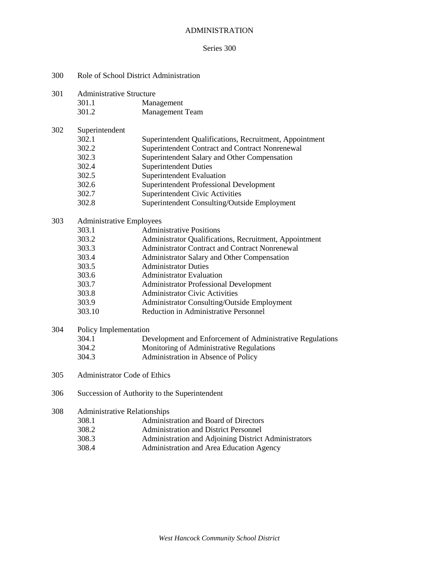#### ADMINISTRATION

#### Series 300

| 300 | Role of School District Administration |
|-----|----------------------------------------|
|-----|----------------------------------------|

301.1 Management

301.2 Management Team

# 302 Superintendent

- 302.2 Superintendent Contract and Contract Nonrenewal
- 302.3 Superintendent Salary and Other Compensation
- Superintendent Duties
	- 302.5 Superintendent Evaluation
	- 302.6 Superintendent Professional Development
	- 302.7 Superintendent Civic Activities
	- 302.8 Superintendent Consulting/Outside Employment

#### 303 Administrative Employees

| 303.1  | <b>Administrative Positions</b>                        |
|--------|--------------------------------------------------------|
| 303.2  | Administrator Qualifications, Recruitment, Appointment |
| 303.3  | Administrator Contract and Contract Nonrenewal         |
| 303.4  | Administrator Salary and Other Compensation            |
| 303.5  | <b>Administrator Duties</b>                            |
| 303.6  | <b>Administrator Evaluation</b>                        |
| 303.7  | <b>Administrator Professional Development</b>          |
| 303.8  | <b>Administrator Civic Activities</b>                  |
| 303.9  | <b>Administrator Consulting/Outside Employment</b>     |
| 303.10 | <b>Reduction in Administrative Personnel</b>           |
|        |                                                        |

#### 304 Policy Implementation

- 304.1 Development and Enforcement of Administrative Regulations
- Monitoring of Administrative Regulations
- 304.3 Administration in Absence of Policy
- 305 Administrator Code of Ethics
- 306 Succession of Authority to the Superintendent

#### 308 Administrative Relationships

- 308.1 Administration and Board of Directors
- 308.2 Administration and District Personnel
- 308.3 Administration and Adjoining District Administrators
- 308.4 Administration and Area Education Agency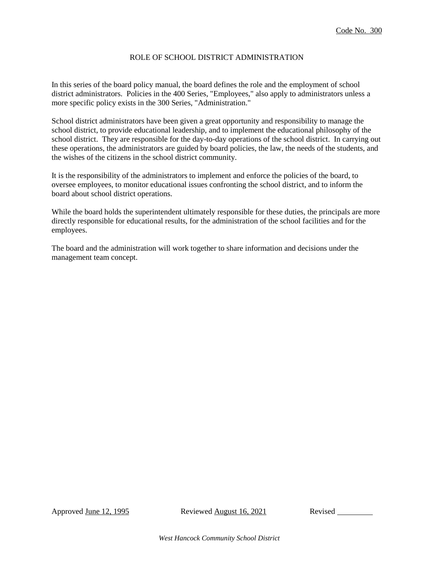## ROLE OF SCHOOL DISTRICT ADMINISTRATION

In this series of the board policy manual, the board defines the role and the employment of school district administrators. Policies in the 400 Series, "Employees," also apply to administrators unless a more specific policy exists in the 300 Series, "Administration."

School district administrators have been given a great opportunity and responsibility to manage the school district, to provide educational leadership, and to implement the educational philosophy of the school district. They are responsible for the day-to-day operations of the school district. In carrying out these operations, the administrators are guided by board policies, the law, the needs of the students, and the wishes of the citizens in the school district community.

It is the responsibility of the administrators to implement and enforce the policies of the board, to oversee employees, to monitor educational issues confronting the school district, and to inform the board about school district operations.

While the board holds the superintendent ultimately responsible for these duties, the principals are more directly responsible for educational results, for the administration of the school facilities and for the employees.

The board and the administration will work together to share information and decisions under the management team concept.

Approved <u>June 12, 1995</u> Reviewed August 16, 2021 Revised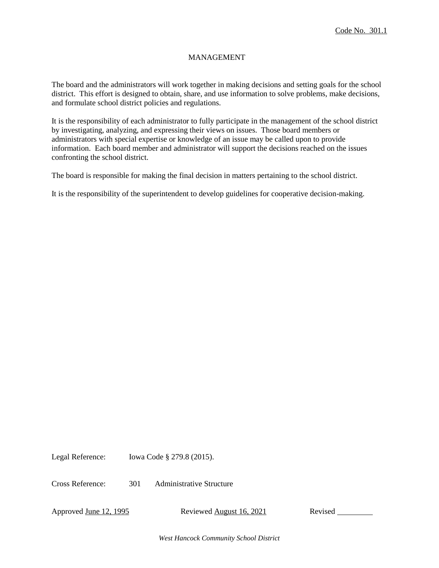# MANAGEMENT

The board and the administrators will work together in making decisions and setting goals for the school district. This effort is designed to obtain, share, and use information to solve problems, make decisions, and formulate school district policies and regulations.

It is the responsibility of each administrator to fully participate in the management of the school district by investigating, analyzing, and expressing their views on issues. Those board members or administrators with special expertise or knowledge of an issue may be called upon to provide information. Each board member and administrator will support the decisions reached on the issues confronting the school district.

The board is responsible for making the final decision in matters pertaining to the school district.

It is the responsibility of the superintendent to develop guidelines for cooperative decision-making.

Legal Reference: Iowa Code § 279.8 (2015).

Cross Reference: 301 Administrative Structure

Approved <u>June 12, 1995</u> Reviewed August 16, 2021 Revised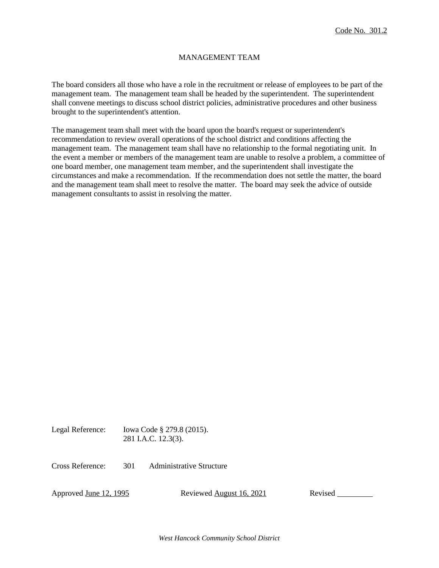# MANAGEMENT TEAM

The board considers all those who have a role in the recruitment or release of employees to be part of the management team. The management team shall be headed by the superintendent. The superintendent shall convene meetings to discuss school district policies, administrative procedures and other business brought to the superintendent's attention.

The management team shall meet with the board upon the board's request or superintendent's recommendation to review overall operations of the school district and conditions affecting the management team. The management team shall have no relationship to the formal negotiating unit. In the event a member or members of the management team are unable to resolve a problem, a committee of one board member, one management team member, and the superintendent shall investigate the circumstances and make a recommendation. If the recommendation does not settle the matter, the board and the management team shall meet to resolve the matter. The board may seek the advice of outside management consultants to assist in resolving the matter.

Legal Reference: Iowa Code § 279.8 (2015). 281 I.A.C. 12.3(3).

Cross Reference: 301 Administrative Structure

Approved June 12, 1995 Reviewed August 16, 2021 Revised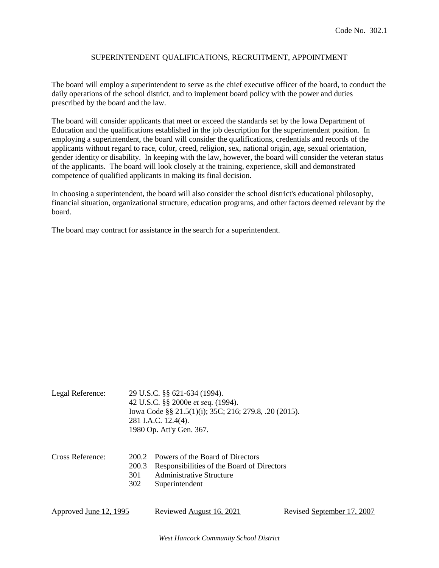# SUPERINTENDENT QUALIFICATIONS, RECRUITMENT, APPOINTMENT

The board will employ a superintendent to serve as the chief executive officer of the board, to conduct the daily operations of the school district, and to implement board policy with the power and duties prescribed by the board and the law.

The board will consider applicants that meet or exceed the standards set by the Iowa Department of Education and the qualifications established in the job description for the superintendent position. In employing a superintendent, the board will consider the qualifications, credentials and records of the applicants without regard to race, color, creed, religion, sex, national origin, age, sexual orientation, gender identity or disability. In keeping with the law, however, the board will consider the veteran status of the applicants. The board will look closely at the training, experience, skill and demonstrated competence of qualified applicants in making its final decision.

In choosing a superintendent, the board will also consider the school district's educational philosophy, financial situation, organizational structure, education programs, and other factors deemed relevant by the board.

The board may contract for assistance in the search for a superintendent.

| Legal Reference:       |                              | 29 U.S.C. §§ 621-634 (1994).<br>42 U.S.C. §§ 2000e et seq. (1994).<br>Iowa Code §§ 21.5(1)(i); 35C; 216; 279.8, .20 (2015).<br>281 I.A.C. 12.4(4).<br>1980 Op. Att'y Gen. 367. |                            |  |
|------------------------|------------------------------|--------------------------------------------------------------------------------------------------------------------------------------------------------------------------------|----------------------------|--|
| Cross Reference:       | 200.2<br>200.3<br>301<br>302 | Powers of the Board of Directors<br>Responsibilities of the Board of Directors<br>Administrative Structure<br>Superintendent                                                   |                            |  |
| Approved June 12, 1995 |                              | Reviewed August 16, 2021                                                                                                                                                       | Revised September 17, 2007 |  |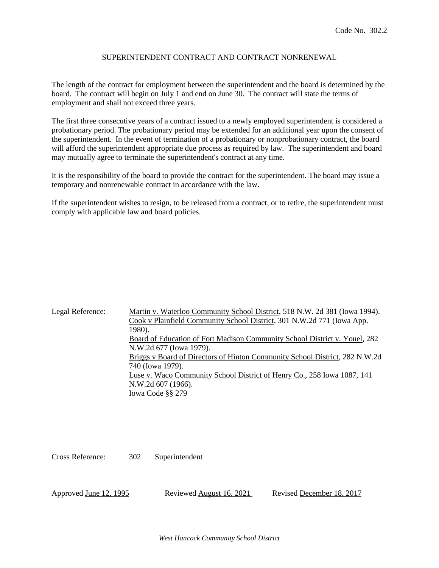# SUPERINTENDENT CONTRACT AND CONTRACT NONRENEWAL

The length of the contract for employment between the superintendent and the board is determined by the board. The contract will begin on July 1 and end on June 30. The contract will state the terms of employment and shall not exceed three years.

The first three consecutive years of a contract issued to a newly employed superintendent is considered a probationary period. The probationary period may be extended for an additional year upon the consent of the superintendent. In the event of termination of a probationary or nonprobationary contract, the board will afford the superintendent appropriate due process as required by law. The superintendent and board may mutually agree to terminate the superintendent's contract at any time.

It is the responsibility of the board to provide the contract for the superintendent. The board may issue a temporary and nonrenewable contract in accordance with the law.

If the superintendent wishes to resign, to be released from a contract, or to retire, the superintendent must comply with applicable law and board policies.

Legal Reference: Martin v. Waterloo Community School District, 518 N.W. 2d 381 (Iowa 1994). Cook v Plainfield Community School District, 301 N.W.2d 771 (Iowa App. 1980). Board of Education of Fort Madison Community School District v. Youel, 282 N.W.2d 677 (Iowa 1979). Briggs v Board of Directors of Hinton Community School District, 282 N.W.2d 740 (Iowa 1979). Luse v. Waco Community School District of Henry Co., 258 Iowa 1087, 141 N.W.2d 607 (1966). Iowa Code §§ 279

Cross Reference: 302 Superintendent

Approved <u>June 12, 1995</u> Reviewed August 16, 2021 Revised December 18, 2017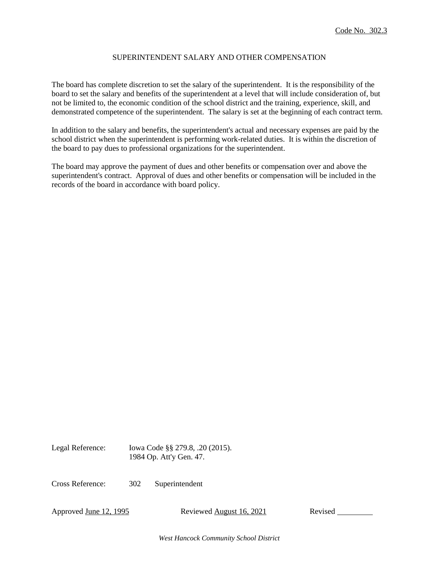# SUPERINTENDENT SALARY AND OTHER COMPENSATION

The board has complete discretion to set the salary of the superintendent. It is the responsibility of the board to set the salary and benefits of the superintendent at a level that will include consideration of, but not be limited to, the economic condition of the school district and the training, experience, skill, and demonstrated competence of the superintendent. The salary is set at the beginning of each contract term.

In addition to the salary and benefits, the superintendent's actual and necessary expenses are paid by the school district when the superintendent is performing work-related duties. It is within the discretion of the board to pay dues to professional organizations for the superintendent.

The board may approve the payment of dues and other benefits or compensation over and above the superintendent's contract. Approval of dues and other benefits or compensation will be included in the records of the board in accordance with board policy.

Legal Reference: Iowa Code §§ 279.8, .20 (2015). 1984 Op. Att'y Gen. 47.

Cross Reference: 302 Superintendent

Approved <u>June 12, 1995</u> Reviewed August 16, 2021 Revised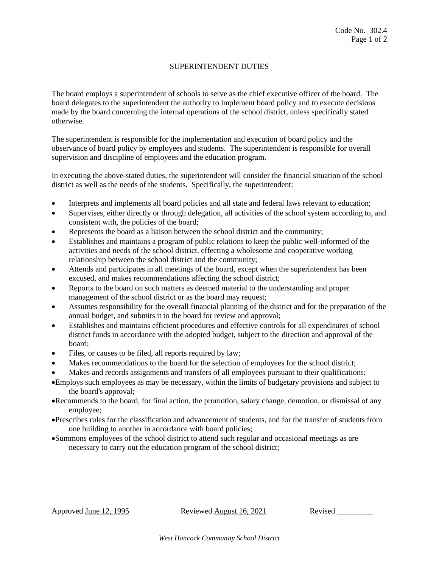# SUPERINTENDENT DUTIES

The board employs a superintendent of schools to serve as the chief executive officer of the board. The board delegates to the superintendent the authority to implement board policy and to execute decisions made by the board concerning the internal operations of the school district, unless specifically stated otherwise.

The superintendent is responsible for the implementation and execution of board policy and the observance of board policy by employees and students. The superintendent is responsible for overall supervision and discipline of employees and the education program.

In executing the above-stated duties, the superintendent will consider the financial situation of the school district as well as the needs of the students. Specifically, the superintendent:

- Interprets and implements all board policies and all state and federal laws relevant to education;
- Supervises, either directly or through delegation, all activities of the school system according to, and consistent with, the policies of the board;
- Represents the board as a liaison between the school district and the community;
- Establishes and maintains a program of public relations to keep the public well-informed of the activities and needs of the school district, effecting a wholesome and cooperative working relationship between the school district and the community;
- Attends and participates in all meetings of the board, except when the superintendent has been excused, and makes recommendations affecting the school district;
- Reports to the board on such matters as deemed material to the understanding and proper management of the school district or as the board may request;
- Assumes responsibility for the overall financial planning of the district and for the preparation of the annual budget, and submits it to the board for review and approval;
- Establishes and maintains efficient procedures and effective controls for all expenditures of school district funds in accordance with the adopted budget, subject to the direction and approval of the board;
- Files, or causes to be filed, all reports required by law;
- Makes recommendations to the board for the selection of employees for the school district;
- Makes and records assignments and transfers of all employees pursuant to their qualifications;
- Employs such employees as may be necessary, within the limits of budgetary provisions and subject to the board's approval;
- Recommends to the board, for final action, the promotion, salary change, demotion, or dismissal of any employee;
- Prescribes rules for the classification and advancement of students, and for the transfer of students from one building to another in accordance with board policies;
- Summons employees of the school district to attend such regular and occasional meetings as are necessary to carry out the education program of the school district;

Approved June 12, 1995 Reviewed August 16, 2021 Revised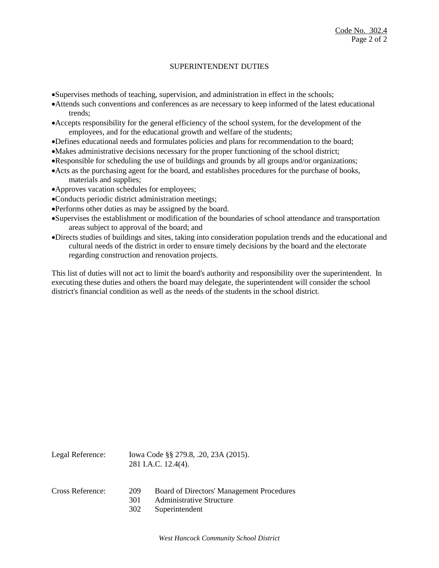## SUPERINTENDENT DUTIES

Supervises methods of teaching, supervision, and administration in effect in the schools;

- Attends such conventions and conferences as are necessary to keep informed of the latest educational trends;
- Accepts responsibility for the general efficiency of the school system, for the development of the employees, and for the educational growth and welfare of the students;
- Defines educational needs and formulates policies and plans for recommendation to the board;
- Makes administrative decisions necessary for the proper functioning of the school district;
- Responsible for scheduling the use of buildings and grounds by all groups and/or organizations;
- Acts as the purchasing agent for the board, and establishes procedures for the purchase of books, materials and supplies;
- Approves vacation schedules for employees;
- Conducts periodic district administration meetings;
- Performs other duties as may be assigned by the board.
- Supervises the establishment or modification of the boundaries of school attendance and transportation areas subject to approval of the board; and
- Directs studies of buildings and sites, taking into consideration population trends and the educational and cultural needs of the district in order to ensure timely decisions by the board and the electorate regarding construction and renovation projects.

This list of duties will not act to limit the board's authority and responsibility over the superintendent. In executing these duties and others the board may delegate, the superintendent will consider the school district's financial condition as well as the needs of the students in the school district.

| Legal Reference: | Iowa Code §§ 279.8, .20, 23A (2015).<br>281 I.A.C. 12.4(4). |                                                                                                |
|------------------|-------------------------------------------------------------|------------------------------------------------------------------------------------------------|
| Cross Reference: | 209<br>301<br>302                                           | Board of Directors' Management Procedures<br><b>Administrative Structure</b><br>Superintendent |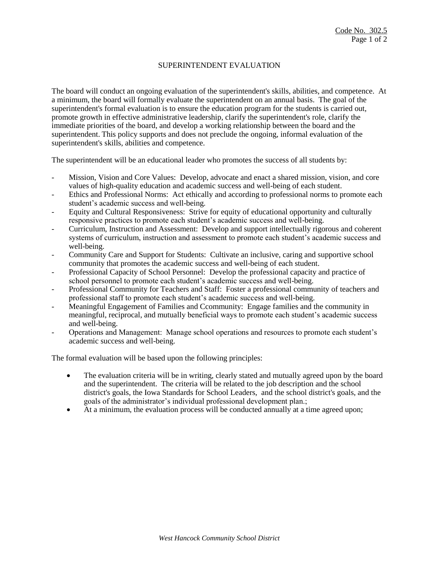#### SUPERINTENDENT EVALUATION

The board will conduct an ongoing evaluation of the superintendent's skills, abilities, and competence. At a minimum, the board will formally evaluate the superintendent on an annual basis. The goal of the superintendent's formal evaluation is to ensure the education program for the students is carried out, promote growth in effective administrative leadership, clarify the superintendent's role, clarify the immediate priorities of the board, and develop a working relationship between the board and the superintendent. This policy supports and does not preclude the ongoing, informal evaluation of the superintendent's skills, abilities and competence.

The superintendent will be an educational leader who promotes the success of all students by:

- Mission, Vision and Core Values: Develop, advocate and enact a shared mission, vision, and core values of high-quality education and academic success and well-being of each student.
- Ethics and Professional Norms: Act ethically and according to professional norms to promote each student's academic success and well-being.
- Equity and Cultural Responsiveness: Strive for equity of educational opportunity and culturally responsive practices to promote each student's academic success and well-being.
- Curriculum, Instruction and Assessment: Develop and support intellectually rigorous and coherent systems of curriculum, instruction and assessment to promote each student's academic success and well-being.
- Community Care and Support for Students: Cultivate an inclusive, caring and supportive school community that promotes the academic success and well-being of each student.
- Professional Capacity of School Personnel: Develop the professional capacity and practice of school personnel to promote each student's academic success and well-being.
- Professional Community for Teachers and Staff: Foster a professional community of teachers and professional staff to promote each student's academic success and well-being.
- Meaningful Engagement of Families and Ccommunity: Engage families and the community in meaningful, reciprocal, and mutually beneficial ways to promote each student's academic success and well-being.
- Operations and Management: Manage school operations and resources to promote each student's academic success and well-being.

The formal evaluation will be based upon the following principles:

- The evaluation criteria will be in writing, clearly stated and mutually agreed upon by the board and the superintendent. The criteria will be related to the job description and the school district's goals, the Iowa Standards for School Leaders, and the school district's goals, and the goals of the administrator's individual professional development plan.;
- At a minimum, the evaluation process will be conducted annually at a time agreed upon;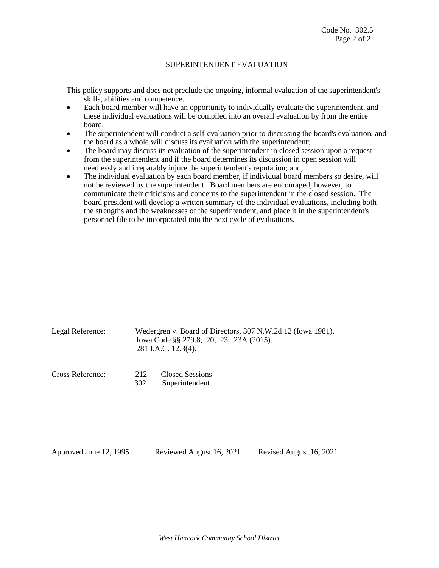#### SUPERINTENDENT EVALUATION

This policy supports and does not preclude the ongoing, informal evaluation of the superintendent's skills, abilities and competence.

- Each board member will have an opportunity to individually evaluate the superintendent, and these individual evaluations will be compiled into an overall evaluation by from the entire board;
- The superintendent will conduct a self-evaluation prior to discussing the board's evaluation, and the board as a whole will discuss its evaluation with the superintendent;
- The board may discuss its evaluation of the superintendent in closed session upon a request from the superintendent and if the board determines its discussion in open session will needlessly and irreparably injure the superintendent's reputation; and,
- The individual evaluation by each board member, if individual board members so desire, will not be reviewed by the superintendent. Board members are encouraged, however, to communicate their criticisms and concerns to the superintendent in the closed session. The board president will develop a written summary of the individual evaluations, including both the strengths and the weaknesses of the superintendent, and place it in the superintendent's personnel file to be incorporated into the next cycle of evaluations.

| Legal Reference: | Wedergren v. Board of Directors, 307 N.W.2d 12 (Iowa 1981).<br>Iowa Code §§ 279.8, .20, .23, .23A (2015).<br>281 I.A.C. 12.3(4). |
|------------------|----------------------------------------------------------------------------------------------------------------------------------|
|                  |                                                                                                                                  |

Cross Reference: 212 Closed Sessions 302 Superintendent

Approved June 12, 1995 Reviewed August 16, 2021 Revised August 16, 2021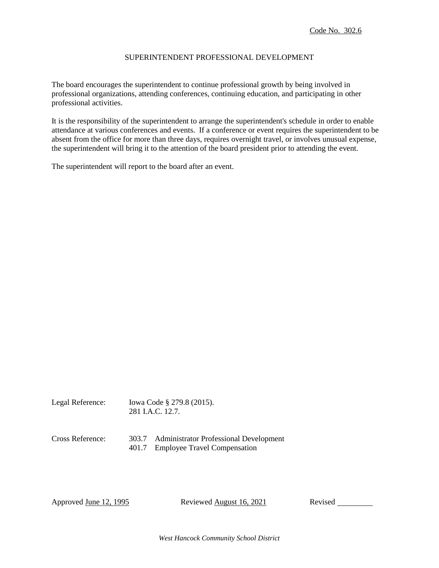### SUPERINTENDENT PROFESSIONAL DEVELOPMENT

The board encourages the superintendent to continue professional growth by being involved in professional organizations, attending conferences, continuing education, and participating in other professional activities.

It is the responsibility of the superintendent to arrange the superintendent's schedule in order to enable attendance at various conferences and events. If a conference or event requires the superintendent to be absent from the office for more than three days, requires overnight travel, or involves unusual expense, the superintendent will bring it to the attention of the board president prior to attending the event.

The superintendent will report to the board after an event.

Legal Reference: Iowa Code § 279.8 (2015). 281 I.A.C. 12.7.

Cross Reference: 303.7 Administrator Professional Development 401.7 Employee Travel Compensation

Approved June 12, 1995 Reviewed August 16, 2021 Revised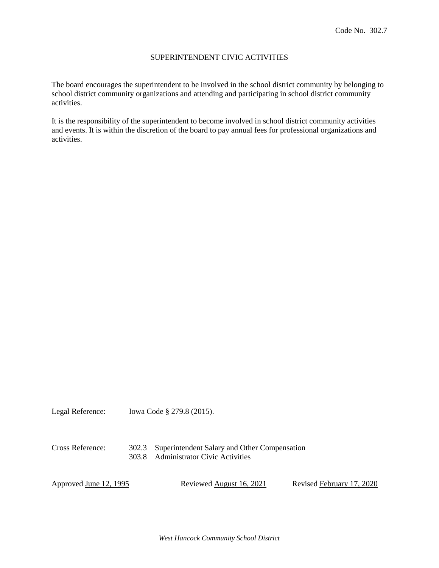## SUPERINTENDENT CIVIC ACTIVITIES

The board encourages the superintendent to be involved in the school district community by belonging to school district community organizations and attending and participating in school district community activities.

It is the responsibility of the superintendent to become involved in school district community activities and events. It is within the discretion of the board to pay annual fees for professional organizations and activities.

Legal Reference: Iowa Code § 279.8 (2015).

#### Cross Reference: 302.3 Superintendent Salary and Other Compensation 303.8 Administrator Civic Activities

Approved <u>June 12, 1995</u> Reviewed <u>August 16, 2021</u> Revised February 17, 2020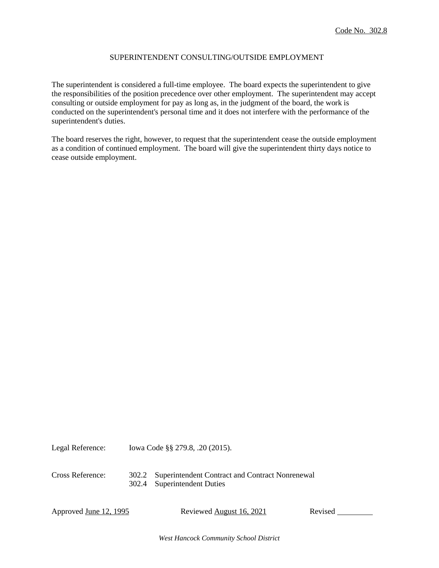## SUPERINTENDENT CONSULTING/OUTSIDE EMPLOYMENT

The superintendent is considered a full-time employee. The board expects the superintendent to give the responsibilities of the position precedence over other employment. The superintendent may accept consulting or outside employment for pay as long as, in the judgment of the board, the work is conducted on the superintendent's personal time and it does not interfere with the performance of the superintendent's duties.

The board reserves the right, however, to request that the superintendent cease the outside employment as a condition of continued employment. The board will give the superintendent thirty days notice to cease outside employment.

Legal Reference: Iowa Code §§ 279.8, .20 (2015). Cross Reference: 302.2 Superintendent Contract and Contract Nonrenewal

302.4 Superintendent Duties

Approved June 12, 1995 Reviewed August 16, 2021 Revised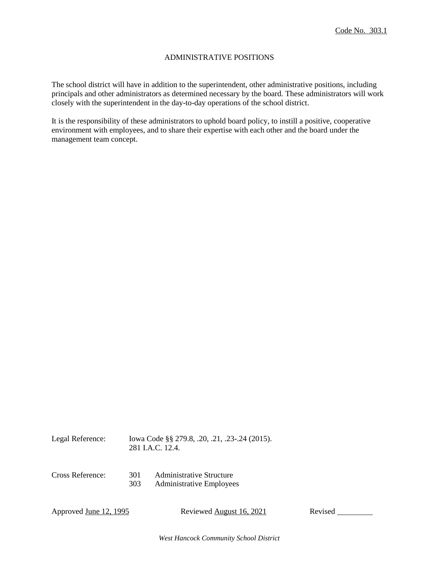### ADMINISTRATIVE POSITIONS

The school district will have in addition to the superintendent, other administrative positions, including principals and other administrators as determined necessary by the board. These administrators will work closely with the superintendent in the day-to-day operations of the school district.

It is the responsibility of these administrators to uphold board policy, to instill a positive, cooperative environment with employees, and to share their expertise with each other and the board under the management team concept.

| Legal Reference:              |            | Iowa Code §§ 279.8, .20, .21, .23-.24 (2015).<br>281 J.A.C. 12.4.  |         |  |  |
|-------------------------------|------------|--------------------------------------------------------------------|---------|--|--|
| Cross Reference:              | 301<br>303 | <b>Administrative Structure</b><br><b>Administrative Employees</b> |         |  |  |
| Approved <u>June 12, 1995</u> |            | Reviewed August 16, 2021                                           | Revised |  |  |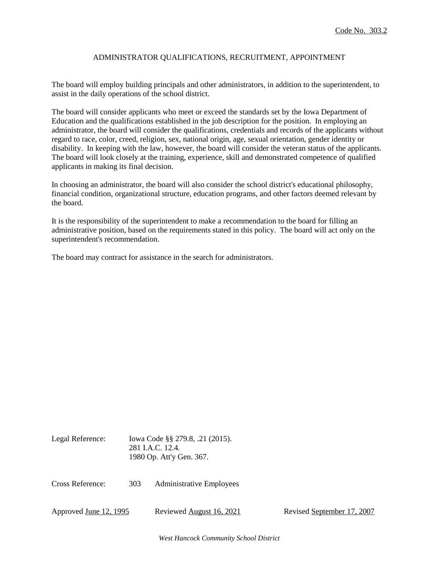# ADMINISTRATOR QUALIFICATIONS, RECRUITMENT, APPOINTMENT

The board will employ building principals and other administrators, in addition to the superintendent, to assist in the daily operations of the school district.

The board will consider applicants who meet or exceed the standards set by the Iowa Department of Education and the qualifications established in the job description for the position. In employing an administrator, the board will consider the qualifications, credentials and records of the applicants without regard to race, color, creed, religion, sex, national origin, age, sexual orientation, gender identity or disability. In keeping with the law, however, the board will consider the veteran status of the applicants. The board will look closely at the training, experience, skill and demonstrated competence of qualified applicants in making its final decision.

In choosing an administrator, the board will also consider the school district's educational philosophy, financial condition, organizational structure, education programs, and other factors deemed relevant by the board.

It is the responsibility of the superintendent to make a recommendation to the board for filling an administrative position, based on the requirements stated in this policy. The board will act only on the superintendent's recommendation.

The board may contract for assistance in the search for administrators.

| Legal Reference:       |     | Iowa Code §§ 279.8, .21 (2015).<br>281 LA.C. 12.4.<br>1980 Op. Att'y Gen. 367. |                            |
|------------------------|-----|--------------------------------------------------------------------------------|----------------------------|
| Cross Reference:       | 303 | <b>Administrative Employees</b>                                                |                            |
| Approved June 12, 1995 |     | Reviewed August 16, 2021                                                       | Revised September 17, 2007 |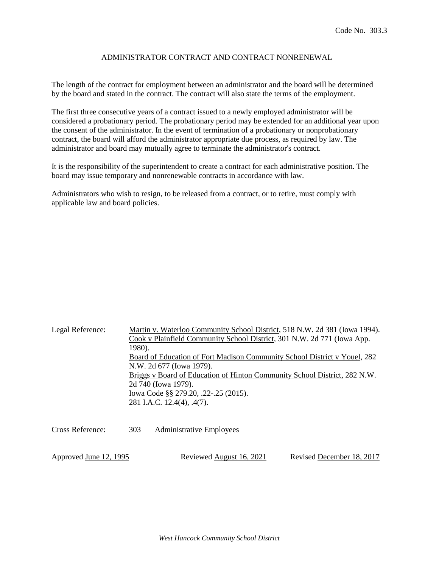# ADMINISTRATOR CONTRACT AND CONTRACT NONRENEWAL

The length of the contract for employment between an administrator and the board will be determined by the board and stated in the contract. The contract will also state the terms of the employment.

The first three consecutive years of a contract issued to a newly employed administrator will be considered a probationary period. The probationary period may be extended for an additional year upon the consent of the administrator. In the event of termination of a probationary or nonprobationary contract, the board will afford the administrator appropriate due process, as required by law. The administrator and board may mutually agree to terminate the administrator's contract.

It is the responsibility of the superintendent to create a contract for each administrative position. The board may issue temporary and nonrenewable contracts in accordance with law.

Administrators who wish to resign, to be released from a contract, or to retire, must comply with applicable law and board policies.

| Legal Reference:       | 1980). | Martin v. Waterloo Community School District, 518 N.W. 2d 381 (Iowa 1994).<br>Cook v Plainfield Community School District, 301 N.W. 2d 771 (Iowa App.<br>Board of Education of Fort Madison Community School District v Youel, 282<br>N.W. 2d 677 (Iowa 1979).<br>Briggs v Board of Education of Hinton Community School District, 282 N.W.<br>2d 740 (Iowa 1979).<br>lowa Code §§ 279.20, .22-.25 (2015).<br>281 I.A.C. 12.4(4), .4(7). |                           |  |
|------------------------|--------|------------------------------------------------------------------------------------------------------------------------------------------------------------------------------------------------------------------------------------------------------------------------------------------------------------------------------------------------------------------------------------------------------------------------------------------|---------------------------|--|
| Cross Reference:       | 303    | <b>Administrative Employees</b>                                                                                                                                                                                                                                                                                                                                                                                                          |                           |  |
| Approved June 12, 1995 |        | Reviewed August 16, 2021                                                                                                                                                                                                                                                                                                                                                                                                                 | Revised December 18, 2017 |  |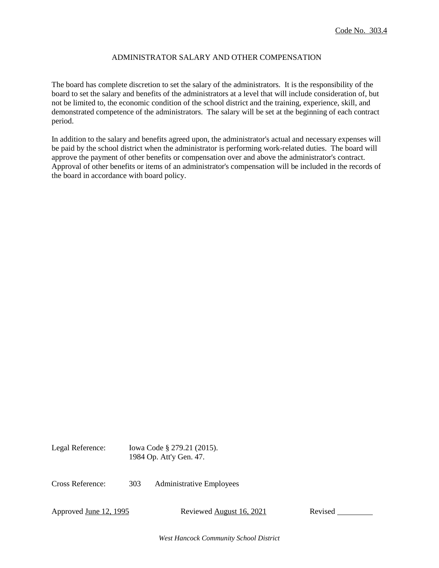# ADMINISTRATOR SALARY AND OTHER COMPENSATION

The board has complete discretion to set the salary of the administrators. It is the responsibility of the board to set the salary and benefits of the administrators at a level that will include consideration of, but not be limited to, the economic condition of the school district and the training, experience, skill, and demonstrated competence of the administrators. The salary will be set at the beginning of each contract period.

In addition to the salary and benefits agreed upon, the administrator's actual and necessary expenses will be paid by the school district when the administrator is performing work-related duties. The board will approve the payment of other benefits or compensation over and above the administrator's contract. Approval of other benefits or items of an administrator's compensation will be included in the records of the board in accordance with board policy.

Legal Reference: Iowa Code § 279.21 (2015). 1984 Op. Att'y Gen. 47. Cross Reference: 303 Administrative Employees

Approved June 12, 1995 Reviewed August 16, 2021 Revised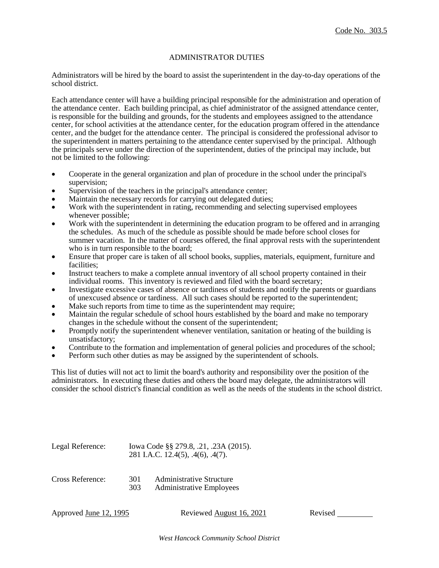#### ADMINISTRATOR DUTIES

Administrators will be hired by the board to assist the superintendent in the day-to-day operations of the school district.

Each attendance center will have a building principal responsible for the administration and operation of the attendance center. Each building principal, as chief administrator of the assigned attendance center, is responsible for the building and grounds, for the students and employees assigned to the attendance center, for school activities at the attendance center, for the education program offered in the attendance center, and the budget for the attendance center. The principal is considered the professional advisor to the superintendent in matters pertaining to the attendance center supervised by the principal. Although the principals serve under the direction of the superintendent, duties of the principal may include, but not be limited to the following:

- Cooperate in the general organization and plan of procedure in the school under the principal's supervision;
- Supervision of the teachers in the principal's attendance center;
- Maintain the necessary records for carrying out delegated duties;
- Work with the superintendent in rating, recommending and selecting supervised employees whenever possible;
- Work with the superintendent in determining the education program to be offered and in arranging the schedules. As much of the schedule as possible should be made before school closes for summer vacation. In the matter of courses offered, the final approval rests with the superintendent who is in turn responsible to the board;
- Ensure that proper care is taken of all school books, supplies, materials, equipment, furniture and facilities;
- Instruct teachers to make a complete annual inventory of all school property contained in their individual rooms. This inventory is reviewed and filed with the board secretary;
- Investigate excessive cases of absence or tardiness of students and notify the parents or guardians of unexcused absence or tardiness. All such cases should be reported to the superintendent;
- Make such reports from time to time as the superintendent may require;
- Maintain the regular schedule of school hours established by the board and make no temporary changes in the schedule without the consent of the superintendent;
- Promptly notify the superintendent whenever ventilation, sanitation or heating of the building is unsatisfactory;
- Contribute to the formation and implementation of general policies and procedures of the school;
- Perform such other duties as may be assigned by the superintendent of schools.

This list of duties will not act to limit the board's authority and responsibility over the position of the administrators. In executing these duties and others the board may delegate, the administrators will consider the school district's financial condition as well as the needs of the students in the school district.

| Legal Reference: | Iowa Code §§ 279.8, .21, .23A (2015).<br>281 I.A.C. 12.4(5), .4(6), .4(7). |                                                                    |
|------------------|----------------------------------------------------------------------------|--------------------------------------------------------------------|
| Cross Reference: | 301<br>303                                                                 | <b>Administrative Structure</b><br><b>Administrative Employees</b> |

Approved June 12, 1995 Reviewed August 16, 2021 Revised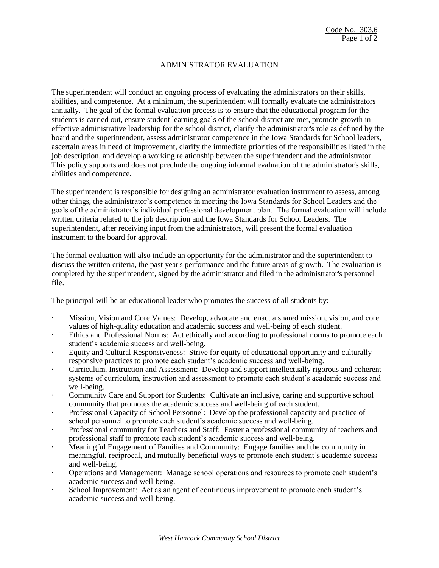### ADMINISTRATOR EVALUATION

The superintendent will conduct an ongoing process of evaluating the administrators on their skills, abilities, and competence. At a minimum, the superintendent will formally evaluate the administrators annually. The goal of the formal evaluation process is to ensure that the educational program for the students is carried out, ensure student learning goals of the school district are met, promote growth in effective administrative leadership for the school district, clarify the administrator's role as defined by the board and the superintendent, assess administrator competence in the Iowa Standards for School leaders, ascertain areas in need of improvement, clarify the immediate priorities of the responsibilities listed in the job description, and develop a working relationship between the superintendent and the administrator. This policy supports and does not preclude the ongoing informal evaluation of the administrator's skills, abilities and competence.

The superintendent is responsible for designing an administrator evaluation instrument to assess, among other things, the administrator's competence in meeting the Iowa Standards for School Leaders and the goals of the administrator's individual professional development plan. The formal evaluation will include written criteria related to the job description and the Iowa Standards for School Leaders. The superintendent, after receiving input from the administrators, will present the formal evaluation instrument to the board for approval.

The formal evaluation will also include an opportunity for the administrator and the superintendent to discuss the written criteria, the past year's performance and the future areas of growth. The evaluation is completed by the superintendent, signed by the administrator and filed in the administrator's personnel file.

The principal will be an educational leader who promotes the success of all students by:

- · Mission, Vision and Core Values: Develop, advocate and enact a shared mission, vision, and core values of high-quality education and academic success and well-being of each student.
- Ethics and Professional Norms: Act ethically and according to professional norms to promote each student's academic success and well-being.
- Equity and Cultural Responsiveness: Strive for equity of educational opportunity and culturally responsive practices to promote each student's academic success and well-being.
- · Curriculum, Instruction and Assessment: Develop and support intellectually rigorous and coherent systems of curriculum, instruction and assessment to promote each student's academic success and well-being.
- · Community Care and Support for Students: Cultivate an inclusive, caring and supportive school community that promotes the academic success and well-being of each student.
- · Professional Capacity of School Personnel: Develop the professional capacity and practice of school personnel to promote each student's academic success and well-being.
- · Professional community for Teachers and Staff: Foster a professional community of teachers and professional staff to promote each student's academic success and well-being.
- Meaningful Engagement of Families and Community: Engage families and the community in meaningful, reciprocal, and mutually beneficial ways to promote each student's academic success and well-being.
- · Operations and Management: Manage school operations and resources to promote each student's academic success and well-being.
- School Improvement: Act as an agent of continuous improvement to promote each student's academic success and well-being.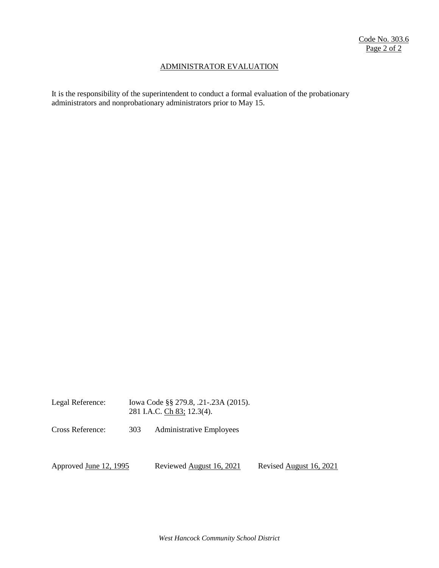#### ADMINISTRATOR EVALUATION

It is the responsibility of the superintendent to conduct a formal evaluation of the probationary administrators and nonprobationary administrators prior to May 15.

Legal Reference: Iowa Code §§ 279.8, .21-.23A (2015). 281 I.A.C. Ch 83; 12.3(4).

Cross Reference: 303 Administrative Employees

Approved June 12, 1995 Reviewed August 16, 2021 Revised August 16, 2021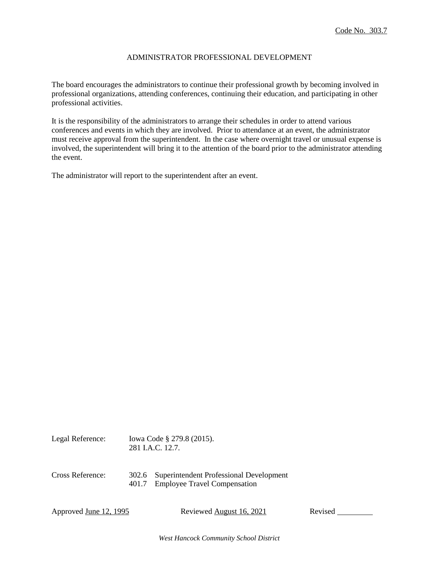#### ADMINISTRATOR PROFESSIONAL DEVELOPMENT

The board encourages the administrators to continue their professional growth by becoming involved in professional organizations, attending conferences, continuing their education, and participating in other professional activities.

It is the responsibility of the administrators to arrange their schedules in order to attend various conferences and events in which they are involved. Prior to attendance at an event, the administrator must receive approval from the superintendent. In the case where overnight travel or unusual expense is involved, the superintendent will bring it to the attention of the board prior to the administrator attending the event.

The administrator will report to the superintendent after an event.

| LULUI IWIVIUW.<br>$10.048 \times 10^{13}$ , $21.2012$ , $10.012$<br>281 I.A.C. 12.7. |       |                                                                                      |
|--------------------------------------------------------------------------------------|-------|--------------------------------------------------------------------------------------|
| Cross Reference:                                                                     | 401.7 | 302.6 Superintendent Professional Development<br><b>Employee Travel Compensation</b> |

Legal Reference: Iowa Code § 279.8 (2015).

Approved June 12, 1995 Reviewed August 16, 2021 Revised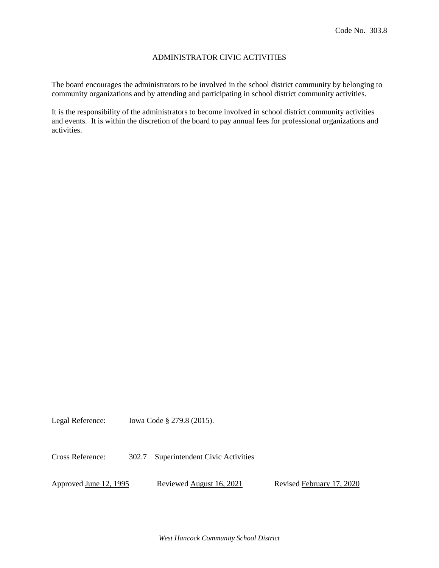## ADMINISTRATOR CIVIC ACTIVITIES

The board encourages the administrators to be involved in the school district community by belonging to community organizations and by attending and participating in school district community activities.

It is the responsibility of the administrators to become involved in school district community activities and events. It is within the discretion of the board to pay annual fees for professional organizations and activities.

Legal Reference: Iowa Code § 279.8 (2015).

Cross Reference: 302.7 Superintendent Civic Activities

Approved June 12, 1995 Reviewed August 16, 2021 Revised February 17, 2020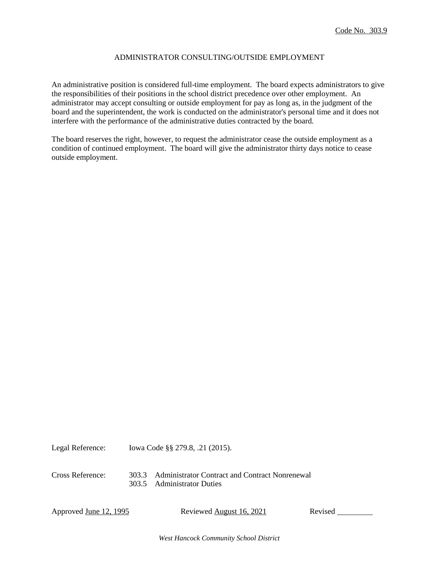# ADMINISTRATOR CONSULTING/OUTSIDE EMPLOYMENT

An administrative position is considered full-time employment. The board expects administrators to give the responsibilities of their positions in the school district precedence over other employment. An administrator may accept consulting or outside employment for pay as long as, in the judgment of the board and the superintendent, the work is conducted on the administrator's personal time and it does not interfere with the performance of the administrative duties contracted by the board.

The board reserves the right, however, to request the administrator cease the outside employment as a condition of continued employment. The board will give the administrator thirty days notice to cease outside employment.

Legal Reference: Iowa Code §§ 279.8, .21 (2015). Cross Reference: 303.3 Administrator Contract and Contract Nonrenewal

303.5 Administrator Duties

Approved <u>June 12, 1995</u> Reviewed August 16, 2021 Revised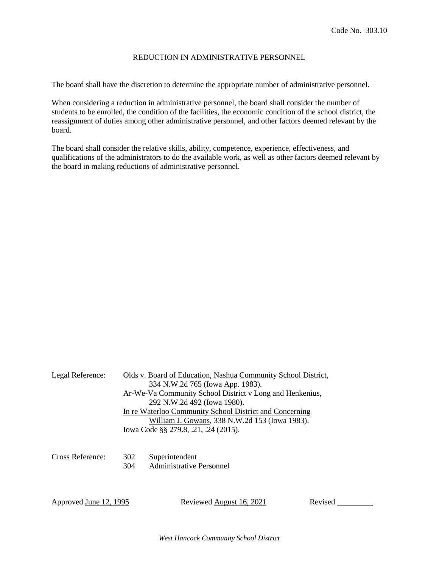### REDUCTION IN ADMINISTRATIVE PERSONNEL

The board shall have the discretion to determine the appropriate number of administrative personnel.

When considering a reduction in administrative personnel, the board shall consider the number of students to be enrolled, the condition of the facilities, the economic condition of the school district, the reassignment of duties among other administrative personnel, and other factors deemed relevant by the board.

The board shall consider the relative skills, ability, competence, experience, effectiveness, and qualifications of the administrators to do the available work, as well as other factors deemed relevant by the board in making reductions of administrative personnel.

| Legal Reference:       |            | Olds v. Board of Education, Nashua Community School District,<br>334 N.W.2d 765 (Iowa App. 1983).<br>Ar-We-Va Community School District v Long and Henkenius,<br>292 N.W.2d 492 (Iowa 1980).<br>In re Waterloo Community School District and Concerning<br>William J. Gowans, 338 N.W.2d 153 (Iowa 1983).<br>Iowa Code §§ 279.8, .21, .24 (2015). |         |
|------------------------|------------|---------------------------------------------------------------------------------------------------------------------------------------------------------------------------------------------------------------------------------------------------------------------------------------------------------------------------------------------------|---------|
| Cross Reference:       | 302<br>304 | Superintendent<br>Administrative Personnel                                                                                                                                                                                                                                                                                                        |         |
| Approved June 12, 1995 |            | Reviewed August 16, 2021                                                                                                                                                                                                                                                                                                                          | Revised |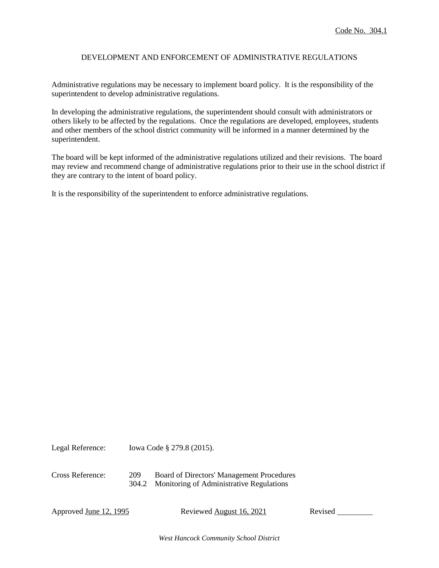## DEVELOPMENT AND ENFORCEMENT OF ADMINISTRATIVE REGULATIONS

Administrative regulations may be necessary to implement board policy. It is the responsibility of the superintendent to develop administrative regulations.

In developing the administrative regulations, the superintendent should consult with administrators or others likely to be affected by the regulations. Once the regulations are developed, employees, students and other members of the school district community will be informed in a manner determined by the superintendent.

The board will be kept informed of the administrative regulations utilized and their revisions. The board may review and recommend change of administrative regulations prior to their use in the school district if they are contrary to the intent of board policy.

It is the responsibility of the superintendent to enforce administrative regulations.

Legal Reference: Iowa Code § 279.8 (2015). Cross Reference: 209 Board of Directors' Management Procedures 304.2 Monitoring of Administrative Regulations

Approved <u>June 12, 1995</u> Reviewed August 16, 2021 Revised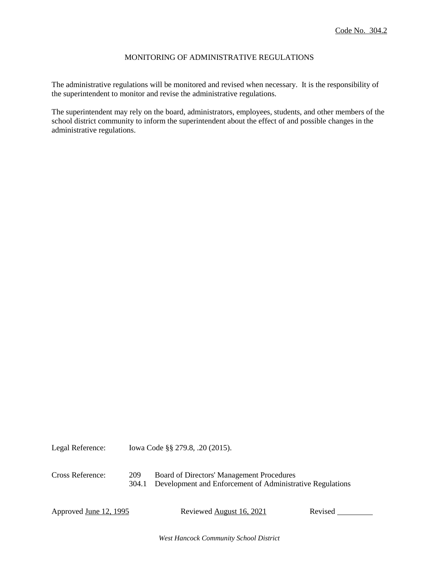## MONITORING OF ADMINISTRATIVE REGULATIONS

The administrative regulations will be monitored and revised when necessary. It is the responsibility of the superintendent to monitor and revise the administrative regulations.

The superintendent may rely on the board, administrators, employees, students, and other members of the school district community to inform the superintendent about the effect of and possible changes in the administrative regulations.

Legal Reference: Iowa Code §§ 279.8, .20 (2015). Cross Reference: 209 Board of Directors' Management Procedures 304.1 Development and Enforcement of Administrative Regulations

Approved June 12, 1995 Reviewed August 16, 2021 Revised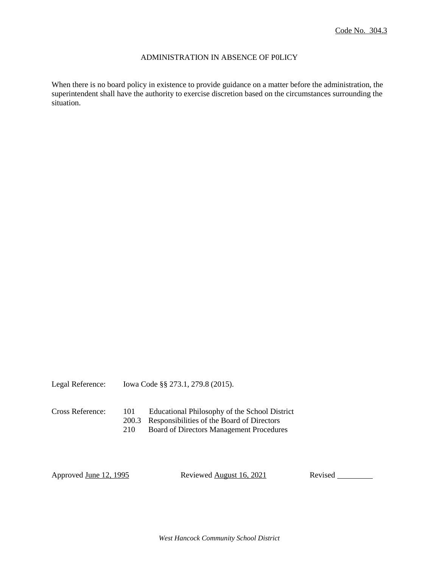#### ADMINISTRATION IN ABSENCE OF P0LICY

When there is no board policy in existence to provide guidance on a matter before the administration, the superintendent shall have the authority to exercise discretion based on the circumstances surrounding the situation.

Legal Reference: Iowa Code §§ 273.1, 279.8 (2015).

Cross Reference: 101 Educational Philosophy of the School District

200.3 Responsibilities of the Board of Directors

210 Board of Directors Management Procedures

Approved June 12, 1995 Reviewed August 16, 2021 Revised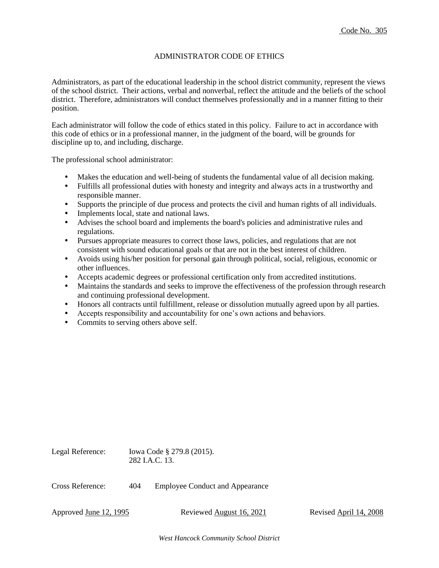#### ADMINISTRATOR CODE OF ETHICS

Administrators, as part of the educational leadership in the school district community, represent the views of the school district. Their actions, verbal and nonverbal, reflect the attitude and the beliefs of the school district. Therefore, administrators will conduct themselves professionally and in a manner fitting to their position.

Each administrator will follow the code of ethics stated in this policy. Failure to act in accordance with this code of ethics or in a professional manner, in the judgment of the board, will be grounds for discipline up to, and including, discharge.

The professional school administrator:

- Makes the education and well-being of students the fundamental value of all decision making.
- Fulfills all professional duties with honesty and integrity and always acts in a trustworthy and responsible manner.
- Supports the principle of due process and protects the civil and human rights of all individuals.
- Implements local, state and national laws.
- Advises the school board and implements the board's policies and administrative rules and regulations.
- Pursues appropriate measures to correct those laws, policies, and regulations that are not consistent with sound educational goals or that are not in the best interest of children.
- Avoids using his/her position for personal gain through political, social, religious, economic or other influences.
- Accepts academic degrees or professional certification only from accredited institutions.
- Maintains the standards and seeks to improve the effectiveness of the profession through research and continuing professional development.
- Honors all contracts until fulfillment, release or dissolution mutually agreed upon by all parties.
- Accepts responsibility and accountability for one's own actions and behaviors.
- Commits to serving others above self.

| Legal Reference: |     | lowa Code § 279.8 (2015).<br>282 J.A.C. 13. |  |
|------------------|-----|---------------------------------------------|--|
| Cross Reference: | 404 | <b>Employee Conduct and Appearance</b>      |  |

Approved June 12, 1995 Reviewed August 16, 2021 Revised April 14, 2008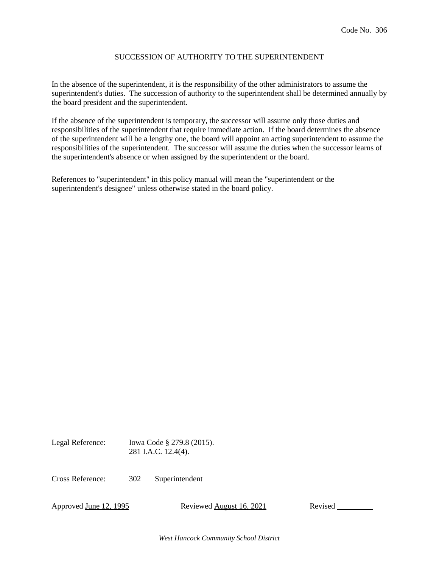# SUCCESSION OF AUTHORITY TO THE SUPERINTENDENT

In the absence of the superintendent, it is the responsibility of the other administrators to assume the superintendent's duties. The succession of authority to the superintendent shall be determined annually by the board president and the superintendent.

If the absence of the superintendent is temporary, the successor will assume only those duties and responsibilities of the superintendent that require immediate action. If the board determines the absence of the superintendent will be a lengthy one, the board will appoint an acting superintendent to assume the responsibilities of the superintendent. The successor will assume the duties when the successor learns of the superintendent's absence or when assigned by the superintendent or the board.

References to "superintendent" in this policy manual will mean the "superintendent or the superintendent's designee" unless otherwise stated in the board policy.

Legal Reference: Iowa Code § 279.8 (2015). 281 I.A.C. 12.4(4).

Cross Reference: 302 Superintendent

Approved <u>June 12, 1995</u> Reviewed August 16, 2021 Revised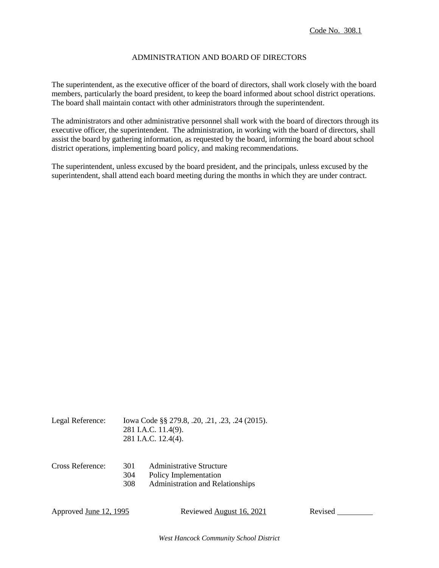## ADMINISTRATION AND BOARD OF DIRECTORS

The superintendent, as the executive officer of the board of directors, shall work closely with the board members, particularly the board president, to keep the board informed about school district operations. The board shall maintain contact with other administrators through the superintendent.

The administrators and other administrative personnel shall work with the board of directors through its executive officer, the superintendent. The administration, in working with the board of directors, shall assist the board by gathering information, as requested by the board, informing the board about school district operations, implementing board policy, and making recommendations.

The superintendent, unless excused by the board president, and the principals, unless excused by the superintendent, shall attend each board meeting during the months in which they are under contract.

| Legal Reference: | Iowa Code §§ 279.8, .20, .21, .23, .24 (2015). |
|------------------|------------------------------------------------|
|                  | 281 I.A.C. 11.4(9).                            |
|                  | 281 I.A.C. 12.4(4).                            |

| Cross Reference: | 301 | <b>Administrative Structure</b>         |
|------------------|-----|-----------------------------------------|
|                  | 304 | Policy Implementation                   |
|                  | 308 | <b>Administration and Relationships</b> |

Approved June 12, 1995 Reviewed August 16, 2021 Revised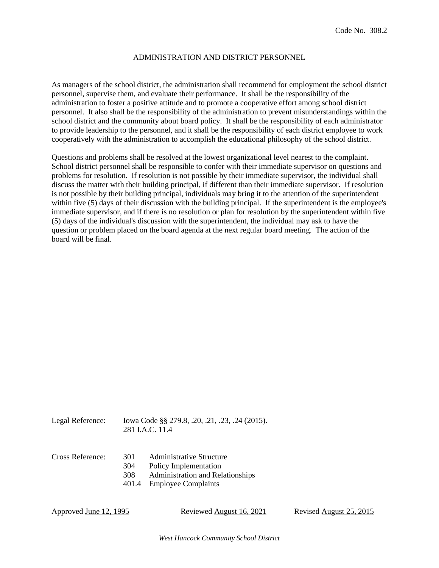#### ADMINISTRATION AND DISTRICT PERSONNEL

As managers of the school district, the administration shall recommend for employment the school district personnel, supervise them, and evaluate their performance. It shall be the responsibility of the administration to foster a positive attitude and to promote a cooperative effort among school district personnel. It also shall be the responsibility of the administration to prevent misunderstandings within the school district and the community about board policy. It shall be the responsibility of each administrator to provide leadership to the personnel, and it shall be the responsibility of each district employee to work cooperatively with the administration to accomplish the educational philosophy of the school district.

Questions and problems shall be resolved at the lowest organizational level nearest to the complaint. School district personnel shall be responsible to confer with their immediate supervisor on questions and problems for resolution. If resolution is not possible by their immediate supervisor, the individual shall discuss the matter with their building principal, if different than their immediate supervisor. If resolution is not possible by their building principal, individuals may bring it to the attention of the superintendent within five (5) days of their discussion with the building principal. If the superintendent is the employee's immediate supervisor, and if there is no resolution or plan for resolution by the superintendent within five (5) days of the individual's discussion with the superintendent, the individual may ask to have the question or problem placed on the board agenda at the next regular board meeting. The action of the board will be final.

| Legal Reference: | Iowa Code §§ 279.8, .20, .21, .23, .24 (2015). |  |  |
|------------------|------------------------------------------------|--|--|
|                  |                                                |  |  |

- 281 I.A.C. 11.4
- Cross Reference: 301 Administrative Structure 304 Policy Implementation 308 Administration and Relationships
	- 401.4 Employee Complaints

Approved June 12, 1995 Reviewed August 16, 2021 Revised August 25, 2015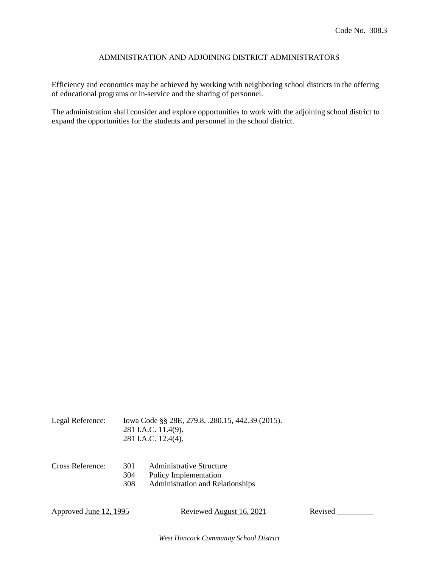## ADMINISTRATION AND ADJOINING DISTRICT ADMINISTRATORS

Efficiency and economics may be achieved by working with neighboring school districts in the offering of educational programs or in-service and the sharing of personnel.

The administration shall consider and explore opportunities to work with the adjoining school district to expand the opportunities for the students and personnel in the school district.

| Legal Reference: | Iowa Code §§ 28E, 279.8, .280.15, 442.39 (2015). |
|------------------|--------------------------------------------------|
|                  | 281 I.A.C. 11.4(9).                              |
|                  | 281 I.A.C. 12.4(4).                              |

| Cross Reference: | 301 | <b>Administrative Structure</b>         |
|------------------|-----|-----------------------------------------|
|                  | 304 | Policy Implementation                   |
|                  | 308 | <b>Administration and Relationships</b> |

Approved <u>June 12, 1995</u> Reviewed August 16, 2021 Revised